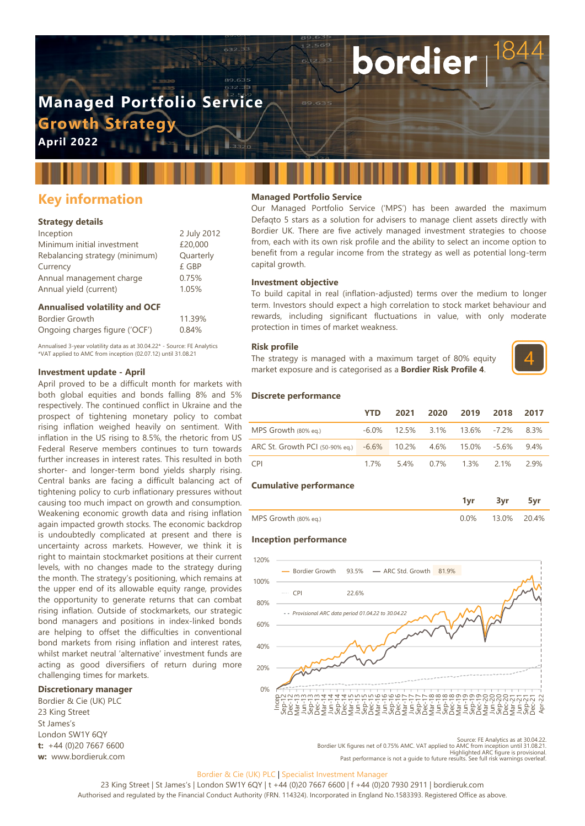# **Managed Portfolio Service Growth Strated**

**April 2022**

# **Key information**

#### **Strategy details**

| Inception                      | 2 July 2012 |
|--------------------------------|-------------|
| Minimum initial investment     | £20,000     |
| Rebalancing strategy (minimum) | Quarterly   |
| Currency                       | £ GBP       |
| Annual management charge       | 0.75%       |
| Annual yield (current)         | 1.05%       |
|                                |             |

#### **Annualised volatility and OCF**

| Bordier Growth                 | 11.39% |
|--------------------------------|--------|
| Ongoing charges figure ('OCF') | 0.84%  |

Annualised 3-year volatility data as at 30.04.22\* - Source: FE Analytics \*VAT applied to AMC from inception (02.07.12) until 31.08.21

#### **Investment update - April**

April proved to be a difficult month for markets with both global equities and bonds falling 8% and 5% respectively. The continued conflict in Ukraine and the prospect of tightening monetary policy to combat rising inflation weighed heavily on sentiment. With inflation in the US rising to 8.5%, the rhetoric from US Federal Reserve members continues to turn towards further increases in interest rates. This resulted in both shorter- and longer-term bond yields sharply rising. Central banks are facing a difficult balancing act of tightening policy to curb inflationary pressures without causing too much impact on growth and consumption. Weakening economic growth data and rising inflation again impacted growth stocks. The economic backdrop is undoubtedly complicated at present and there is uncertainty across markets. However, we think it is right to maintain stockmarket positions at their current levels, with no changes made to the strategy during the month. The strategy's positioning, which remains at the upper end of its allowable equity range, provides the opportunity to generate returns that can combat rising inflation. Outside of stockmarkets, our strategic bond managers and positions in index-linked bonds are helping to offset the difficulties in conventional bond markets from rising inflation and interest rates, whilst market neutral 'alternative' investment funds are acting as good diversifiers of return during more challenging times for markets.

#### **Discretionary manager**

Bordier & Cie (UK) PLC 23 King Street St James's London SW1Y 6QY **t:** +44 (0)20 7667 6600 **w:** www.bordieruk.com

#### **Managed Portfolio Service**

Our Managed Portfolio Service ('MPS') has been awarded the maximum Defaqto 5 stars as a solution for advisers to manage client assets directly with Bordier UK. There are five actively managed investment strategies to choose from, each with its own risk profile and the ability to select an income option to benefit from a regular income from the strategy as well as potential long-term capital growth.

bordier

#### **Investment objective**

To build capital in real (inflation-adjusted) terms over the medium to longer term. Investors should expect a high correlation to stock market behaviour and rewards, including significant fluctuations in value, with only moderate protection in times of market weakness.

#### **Risk profile**

The strategy is managed with a maximum target of 80% equity market exposure and is categorised as a **Bordier Risk Profile 4**.



#### **Discrete performance**

|                                                              | <b>YTD</b> | 2021 | 2020 2019 2018                       | 2017   |
|--------------------------------------------------------------|------------|------|--------------------------------------|--------|
| MPS Growth (80% eg.)                                         |            |      | $-6.0\%$ 12.5% 3.1% 13.6% -7.2% 8.3% |        |
| ARC St. Growth PCI (50-90% eq.) -6.6% 10.2% 4.6% 15.0% -5.6% |            |      |                                      | 94%    |
| CPI <sup>-</sup>                                             |            |      | 1.7% 5.4% 0.7% 1.3% 2.1%             | - 2 9% |

#### **Cumulative performance**

|                      |    | .     |       |
|----------------------|----|-------|-------|
| MPS Growth (80% eq.) | በ% | 13.0% | 20.4% |

#### **Inception performance**



Source: FE Analytics as at 30.04.22<br>Bordier UK figures net of 0.75% AMC. VAT applied to AMC from inception until 31.08.21<br>Highlighted ARC figure is provisional<br>Past performance is not a quide to future results. See full ri

#### Bordier & Cie (UK) PLC | Specialist Investment Manager

23 King Street | St James's | London SW1Y 6QY | t +44 (0)20 7667 6600 | f +44 (0)20 7930 2911 | bordieruk.com Authorised and regulated by the Financial Conduct Authority (FRN. 114324). Incorporated in England No.1583393. Registered Office as above.